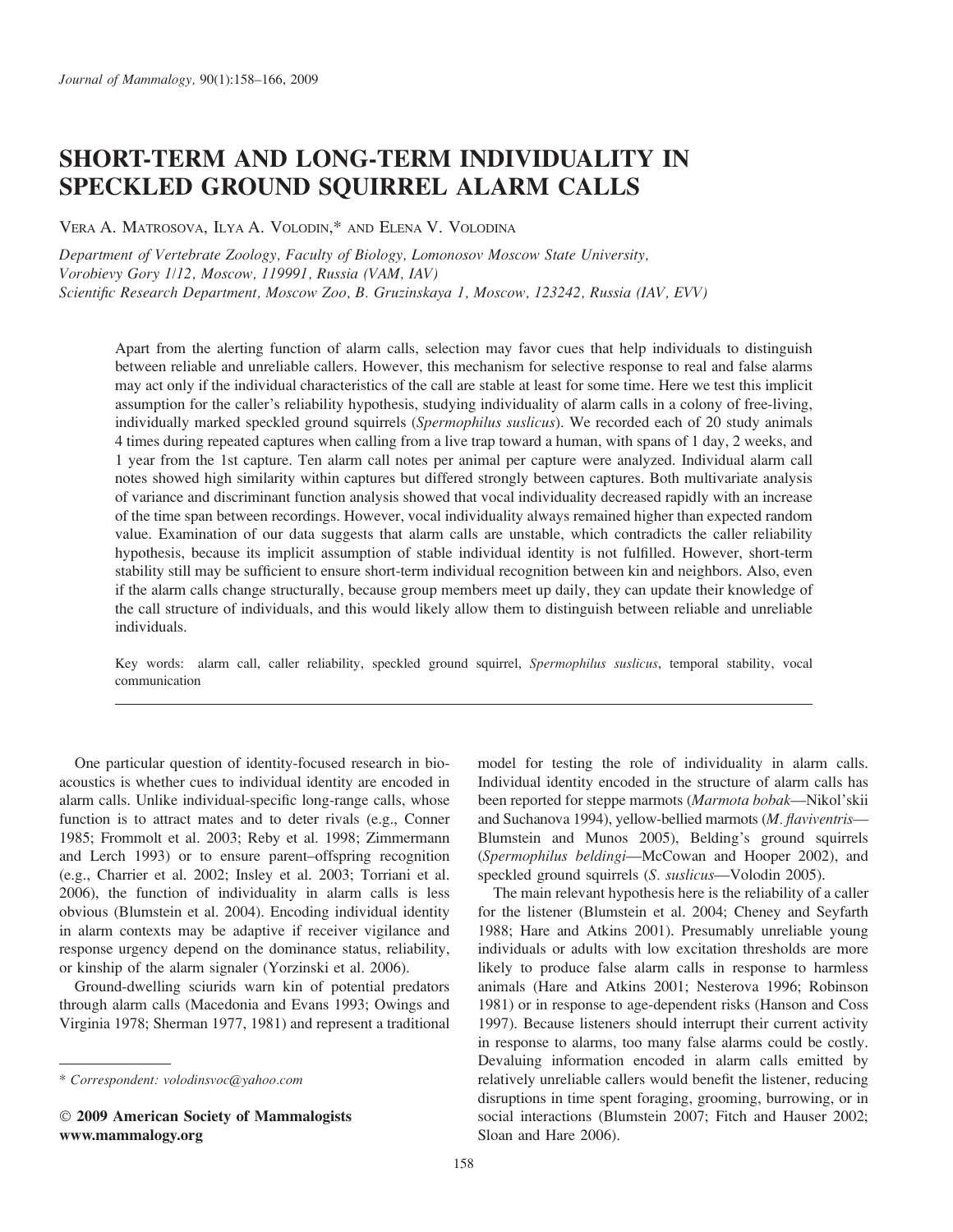# SHORT-TERM AND LONG-TERM INDIVIDUALITY IN SPECKLED GROUND SQUIRREL ALARM CALLS

VERA A. MATROSOVA, ILYA A. VOLODIN,\* AND ELENA V. VOLODINA

Department of Vertebrate Zoology, Faculty of Biology, Lomonosov Moscow State University, Vorobievy Gory 1/12, Moscow, 119991, Russia (VAM, IAV) Scientific Research Department, Moscow Zoo, B. Gruzinskaya 1, Moscow, 123242, Russia (IAV, EVV)

Apart from the alerting function of alarm calls, selection may favor cues that help individuals to distinguish between reliable and unreliable callers. However, this mechanism for selective response to real and false alarms may act only if the individual characteristics of the call are stable at least for some time. Here we test this implicit assumption for the caller's reliability hypothesis, studying individuality of alarm calls in a colony of free-living, individually marked speckled ground squirrels (Spermophilus suslicus). We recorded each of 20 study animals 4 times during repeated captures when calling from a live trap toward a human, with spans of 1 day, 2 weeks, and 1 year from the 1st capture. Ten alarm call notes per animal per capture were analyzed. Individual alarm call notes showed high similarity within captures but differed strongly between captures. Both multivariate analysis of variance and discriminant function analysis showed that vocal individuality decreased rapidly with an increase of the time span between recordings. However, vocal individuality always remained higher than expected random value. Examination of our data suggests that alarm calls are unstable, which contradicts the caller reliability hypothesis, because its implicit assumption of stable individual identity is not fulfilled. However, short-term stability still may be sufficient to ensure short-term individual recognition between kin and neighbors. Also, even if the alarm calls change structurally, because group members meet up daily, they can update their knowledge of the call structure of individuals, and this would likely allow them to distinguish between reliable and unreliable individuals.

Key words: alarm call, caller reliability, speckled ground squirrel, Spermophilus suslicus, temporal stability, vocal communication

One particular question of identity-focused research in bioacoustics is whether cues to individual identity are encoded in alarm calls. Unlike individual-specific long-range calls, whose function is to attract mates and to deter rivals (e.g., Conner 1985; Frommolt et al. 2003; Reby et al. 1998; Zimmermann and Lerch 1993) or to ensure parent–offspring recognition (e.g., Charrier et al. 2002; Insley et al. 2003; Torriani et al. 2006), the function of individuality in alarm calls is less obvious (Blumstein et al. 2004). Encoding individual identity in alarm contexts may be adaptive if receiver vigilance and response urgency depend on the dominance status, reliability, or kinship of the alarm signaler (Yorzinski et al. 2006).

Ground-dwelling sciurids warn kin of potential predators through alarm calls (Macedonia and Evans 1993; Owings and Virginia 1978; Sherman 1977, 1981) and represent a traditional

- 2009 American Society of Mammalogists www.mammalogy.org

model for testing the role of individuality in alarm calls. Individual identity encoded in the structure of alarm calls has been reported for steppe marmots (Marmota bobak—Nikol'skii and Suchanova 1994), yellow-bellied marmots (M. flaviventris— Blumstein and Munos 2005), Belding's ground squirrels (Spermophilus beldingi—McCowan and Hooper 2002), and speckled ground squirrels (S. *suslicus*—Volodin 2005).

The main relevant hypothesis here is the reliability of a caller for the listener (Blumstein et al. 2004; Cheney and Seyfarth 1988; Hare and Atkins 2001). Presumably unreliable young individuals or adults with low excitation thresholds are more likely to produce false alarm calls in response to harmless animals (Hare and Atkins 2001; Nesterova 1996; Robinson 1981) or in response to age-dependent risks (Hanson and Coss 1997). Because listeners should interrupt their current activity in response to alarms, too many false alarms could be costly. Devaluing information encoded in alarm calls emitted by relatively unreliable callers would benefit the listener, reducing disruptions in time spent foraging, grooming, burrowing, or in social interactions (Blumstein 2007; Fitch and Hauser 2002; Sloan and Hare 2006).

<sup>\*</sup> Correspondent: volodinsvoc@yahoo.com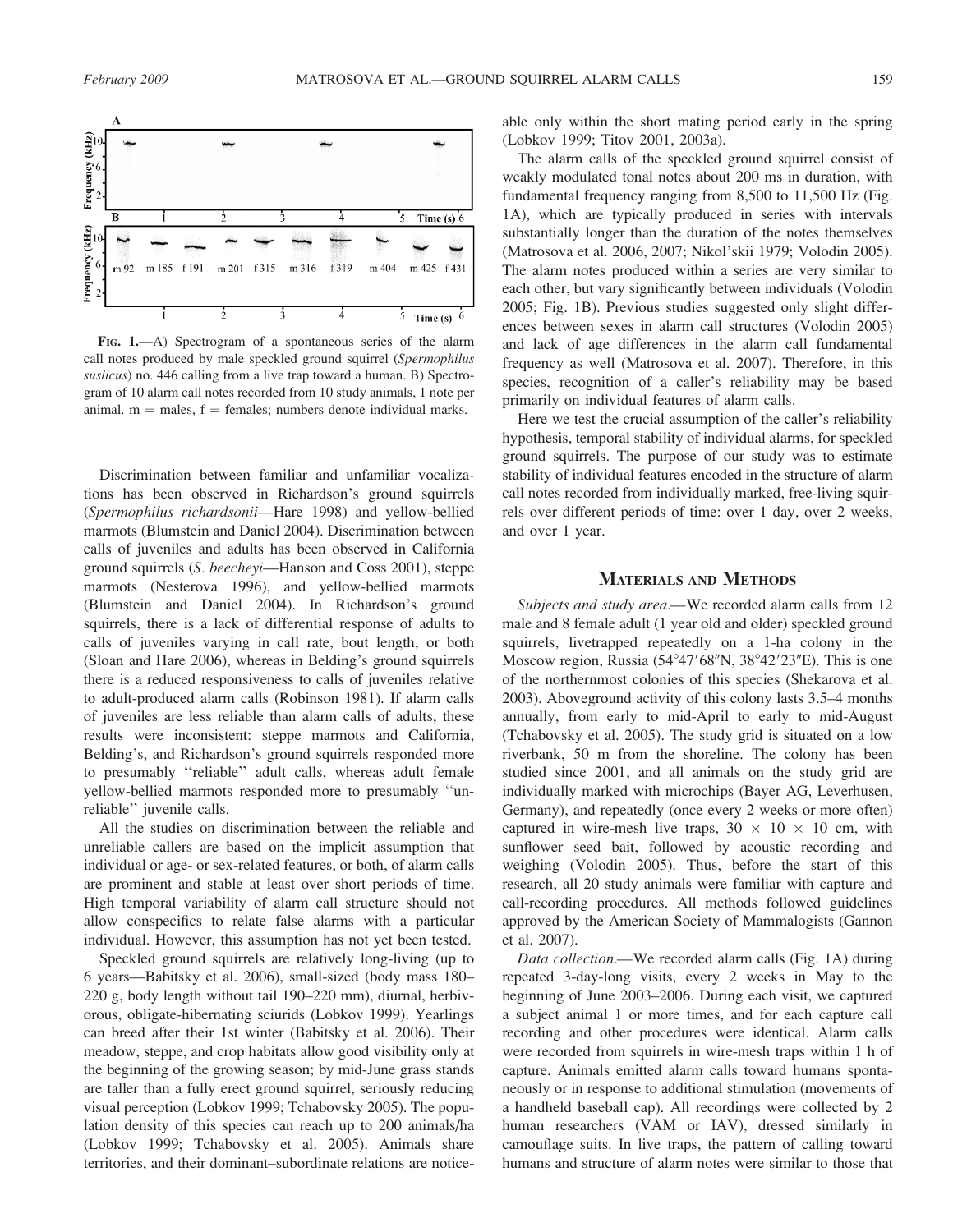

FIG. 1.—A) Spectrogram of a spontaneous series of the alarm call notes produced by male speckled ground squirrel (Spermophilus suslicus) no. 446 calling from a live trap toward a human. B) Spectrogram of 10 alarm call notes recorded from 10 study animals, 1 note per animal.  $m =$  males,  $f =$  females; numbers denote individual marks.

Discrimination between familiar and unfamiliar vocalizations has been observed in Richardson's ground squirrels (Spermophilus richardsonii—Hare 1998) and yellow-bellied marmots (Blumstein and Daniel 2004). Discrimination between calls of juveniles and adults has been observed in California ground squirrels (S. beecheyi—Hanson and Coss 2001), steppe marmots (Nesterova 1996), and yellow-bellied marmots (Blumstein and Daniel 2004). In Richardson's ground squirrels, there is a lack of differential response of adults to calls of juveniles varying in call rate, bout length, or both (Sloan and Hare 2006), whereas in Belding's ground squirrels there is a reduced responsiveness to calls of juveniles relative to adult-produced alarm calls (Robinson 1981). If alarm calls of juveniles are less reliable than alarm calls of adults, these results were inconsistent: steppe marmots and California, Belding's, and Richardson's ground squirrels responded more to presumably ''reliable'' adult calls, whereas adult female yellow-bellied marmots responded more to presumably ''unreliable'' juvenile calls.

All the studies on discrimination between the reliable and unreliable callers are based on the implicit assumption that individual or age- or sex-related features, or both, of alarm calls are prominent and stable at least over short periods of time. High temporal variability of alarm call structure should not allow conspecifics to relate false alarms with a particular individual. However, this assumption has not yet been tested.

Speckled ground squirrels are relatively long-living (up to 6 years—Babitsky et al. 2006), small-sized (body mass 180– 220 g, body length without tail 190–220 mm), diurnal, herbivorous, obligate-hibernating sciurids (Lobkov 1999). Yearlings can breed after their 1st winter (Babitsky et al. 2006). Their meadow, steppe, and crop habitats allow good visibility only at the beginning of the growing season; by mid-June grass stands are taller than a fully erect ground squirrel, seriously reducing visual perception (Lobkov 1999; Tchabovsky 2005). The population density of this species can reach up to 200 animals/ha (Lobkov 1999; Tchabovsky et al. 2005). Animals share territories, and their dominant–subordinate relations are noticeable only within the short mating period early in the spring (Lobkov 1999; Titov 2001, 2003a).

The alarm calls of the speckled ground squirrel consist of weakly modulated tonal notes about 200 ms in duration, with fundamental frequency ranging from 8,500 to 11,500 Hz (Fig. 1A), which are typically produced in series with intervals substantially longer than the duration of the notes themselves (Matrosova et al. 2006, 2007; Nikol'skii 1979; Volodin 2005). The alarm notes produced within a series are very similar to each other, but vary significantly between individuals (Volodin 2005; Fig. 1B). Previous studies suggested only slight differences between sexes in alarm call structures (Volodin 2005) and lack of age differences in the alarm call fundamental frequency as well (Matrosova et al. 2007). Therefore, in this species, recognition of a caller's reliability may be based primarily on individual features of alarm calls.

Here we test the crucial assumption of the caller's reliability hypothesis, temporal stability of individual alarms, for speckled ground squirrels. The purpose of our study was to estimate stability of individual features encoded in the structure of alarm call notes recorded from individually marked, free-living squirrels over different periods of time: over 1 day, over 2 weeks, and over 1 year.

## MATERIALS AND METHODS

Subjects and study area.—We recorded alarm calls from 12 male and 8 female adult (1 year old and older) speckled ground squirrels, livetrapped repeatedly on a 1-ha colony in the Moscow region, Russia  $(54^{\circ}47'68''N, 38^{\circ}42'23''E)$ . This is one of the northernmost colonies of this species (Shekarova et al. 2003). Aboveground activity of this colony lasts 3.5–4 months annually, from early to mid-April to early to mid-August (Tchabovsky et al. 2005). The study grid is situated on a low riverbank, 50 m from the shoreline. The colony has been studied since 2001, and all animals on the study grid are individually marked with microchips (Bayer AG, Leverhusen, Germany), and repeatedly (once every 2 weeks or more often) captured in wire-mesh live traps,  $30 \times 10 \times 10$  cm, with sunflower seed bait, followed by acoustic recording and weighing (Volodin 2005). Thus, before the start of this research, all 20 study animals were familiar with capture and call-recording procedures. All methods followed guidelines approved by the American Society of Mammalogists (Gannon et al. 2007).

Data collection.—We recorded alarm calls (Fig. 1A) during repeated 3-day-long visits, every 2 weeks in May to the beginning of June 2003–2006. During each visit, we captured a subject animal 1 or more times, and for each capture call recording and other procedures were identical. Alarm calls were recorded from squirrels in wire-mesh traps within 1 h of capture. Animals emitted alarm calls toward humans spontaneously or in response to additional stimulation (movements of a handheld baseball cap). All recordings were collected by 2 human researchers (VAM or IAV), dressed similarly in camouflage suits. In live traps, the pattern of calling toward humans and structure of alarm notes were similar to those that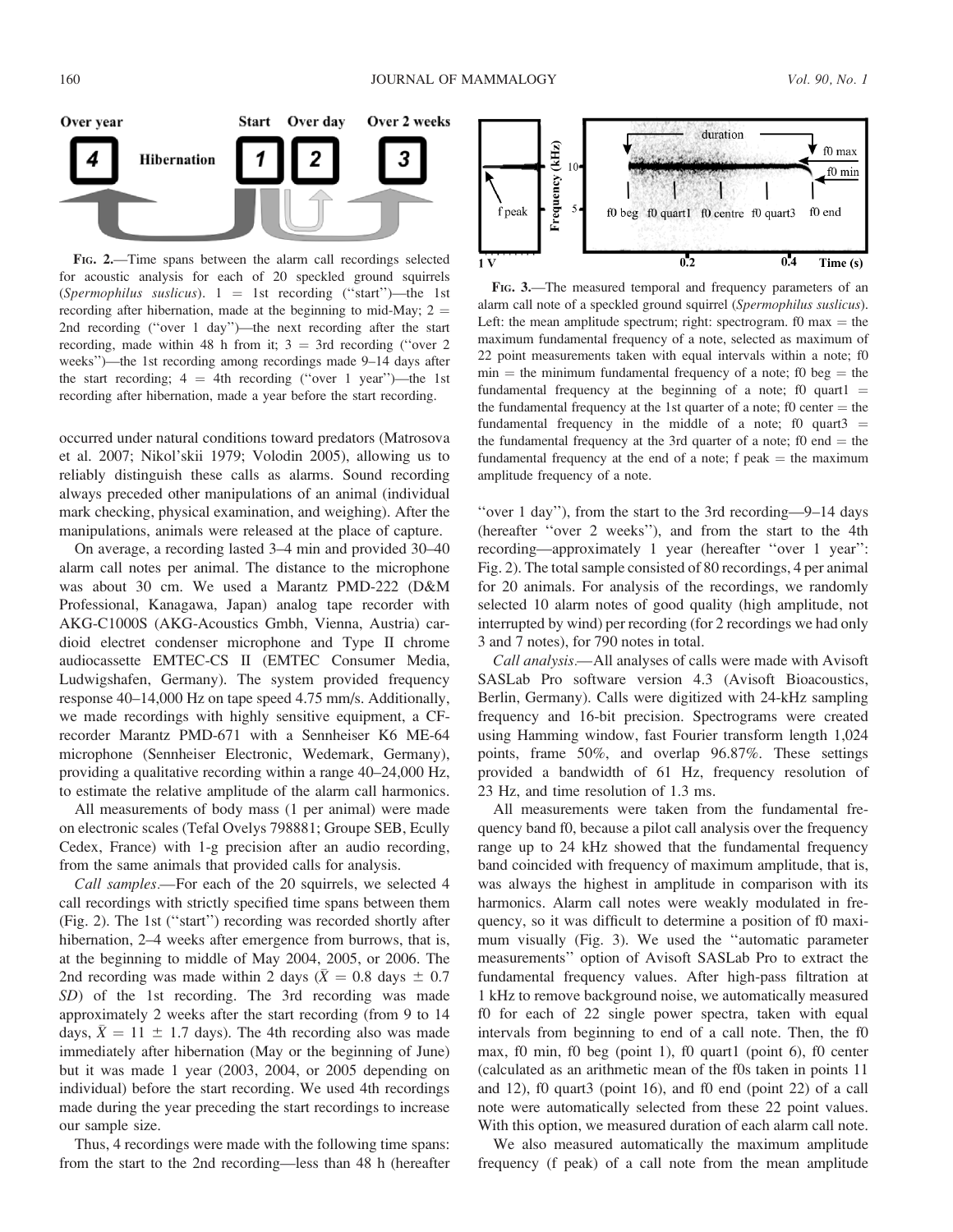

FIG. 2.—Time spans between the alarm call recordings selected for acoustic analysis for each of 20 speckled ground squirrels (Spermophilus suslicus).  $1 = 1$ st recording ("start")—the 1st recording after hibernation, made at the beginning to mid-May;  $2 =$ 2nd recording (''over 1 day'')—the next recording after the start recording, made within 48 h from it;  $3 = 3$ rd recording ("over 2) weeks'')—the 1st recording among recordings made 9–14 days after the start recording;  $4 = 4$ th recording ("over 1 year")—the 1st recording after hibernation, made a year before the start recording.

occurred under natural conditions toward predators (Matrosova et al. 2007; Nikol'skii 1979; Volodin 2005), allowing us to reliably distinguish these calls as alarms. Sound recording always preceded other manipulations of an animal (individual mark checking, physical examination, and weighing). After the manipulations, animals were released at the place of capture.

On average, a recording lasted 3–4 min and provided 30–40 alarm call notes per animal. The distance to the microphone was about 30 cm. We used a Marantz PMD-222 (D&M Professional, Kanagawa, Japan) analog tape recorder with AKG-C1000S (AKG-Acoustics Gmbh, Vienna, Austria) cardioid electret condenser microphone and Type II chrome audiocassette EMTEC-CS II (EMTEC Consumer Media, Ludwigshafen, Germany). The system provided frequency response 40–14,000 Hz on tape speed 4.75 mm/s. Additionally, we made recordings with highly sensitive equipment, a CFrecorder Marantz PMD-671 with a Sennheiser K6 ME-64 microphone (Sennheiser Electronic, Wedemark, Germany), providing a qualitative recording within a range 40–24,000 Hz, to estimate the relative amplitude of the alarm call harmonics.

All measurements of body mass (1 per animal) were made on electronic scales (Tefal Ovelys 798881; Groupe SEB, Ecully Cedex, France) with 1-g precision after an audio recording, from the same animals that provided calls for analysis.

Call samples.—For each of the 20 squirrels, we selected 4 call recordings with strictly specified time spans between them (Fig. 2). The 1st (''start'') recording was recorded shortly after hibernation, 2–4 weeks after emergence from burrows, that is, at the beginning to middle of May 2004, 2005, or 2006. The 2nd recording was made within 2 days ( $\bar{X} = 0.8$  days  $\pm 0.7$ ) SD) of the 1st recording. The 3rd recording was made approximately 2 weeks after the start recording (from 9 to 14 days,  $\bar{X} = 11 \pm 1.7$  days). The 4th recording also was made immediately after hibernation (May or the beginning of June) but it was made 1 year (2003, 2004, or 2005 depending on individual) before the start recording. We used 4th recordings made during the year preceding the start recordings to increase our sample size.

Thus, 4 recordings were made with the following time spans: from the start to the 2nd recording—less than 48 h (hereafter



FIG. 3.—The measured temporal and frequency parameters of an alarm call note of a speckled ground squirrel (Spermophilus suslicus). Left: the mean amplitude spectrum; right: spectrogram.  $f0$  max = the maximum fundamental frequency of a note, selected as maximum of 22 point measurements taken with equal intervals within a note; f0  $min =$  the minimum fundamental frequency of a note; f0 beg  $=$  the fundamental frequency at the beginning of a note; f0 quart1  $=$ the fundamental frequency at the 1st quarter of a note; f0 center  $=$  the fundamental frequency in the middle of a note; f0 quart $3 =$ the fundamental frequency at the 3rd quarter of a note; f0 end  $=$  the fundamental frequency at the end of a note; f peak  $=$  the maximum amplitude frequency of a note.

''over 1 day''), from the start to the 3rd recording—9–14 days (hereafter ''over 2 weeks''), and from the start to the 4th recording—approximately 1 year (hereafter ''over 1 year'': Fig. 2). The total sample consisted of 80 recordings, 4 per animal for 20 animals. For analysis of the recordings, we randomly selected 10 alarm notes of good quality (high amplitude, not interrupted by wind) per recording (for 2 recordings we had only 3 and 7 notes), for 790 notes in total.

Call analysis.—All analyses of calls were made with Avisoft SASLab Pro software version 4.3 (Avisoft Bioacoustics, Berlin, Germany). Calls were digitized with 24-kHz sampling frequency and 16-bit precision. Spectrograms were created using Hamming window, fast Fourier transform length 1,024 points, frame 50%, and overlap 96.87%. These settings provided a bandwidth of 61 Hz, frequency resolution of 23 Hz, and time resolution of 1.3 ms.

All measurements were taken from the fundamental frequency band f0, because a pilot call analysis over the frequency range up to 24 kHz showed that the fundamental frequency band coincided with frequency of maximum amplitude, that is, was always the highest in amplitude in comparison with its harmonics. Alarm call notes were weakly modulated in frequency, so it was difficult to determine a position of f0 maximum visually (Fig. 3). We used the ''automatic parameter measurements'' option of Avisoft SASLab Pro to extract the fundamental frequency values. After high-pass filtration at 1 kHz to remove background noise, we automatically measured f0 for each of 22 single power spectra, taken with equal intervals from beginning to end of a call note. Then, the f0 max, f0 min, f0 beg (point 1), f0 quart1 (point 6), f0 center (calculated as an arithmetic mean of the f0s taken in points 11 and 12), f0 quart3 (point 16), and f0 end (point 22) of a call note were automatically selected from these 22 point values. With this option, we measured duration of each alarm call note.

We also measured automatically the maximum amplitude frequency (f peak) of a call note from the mean amplitude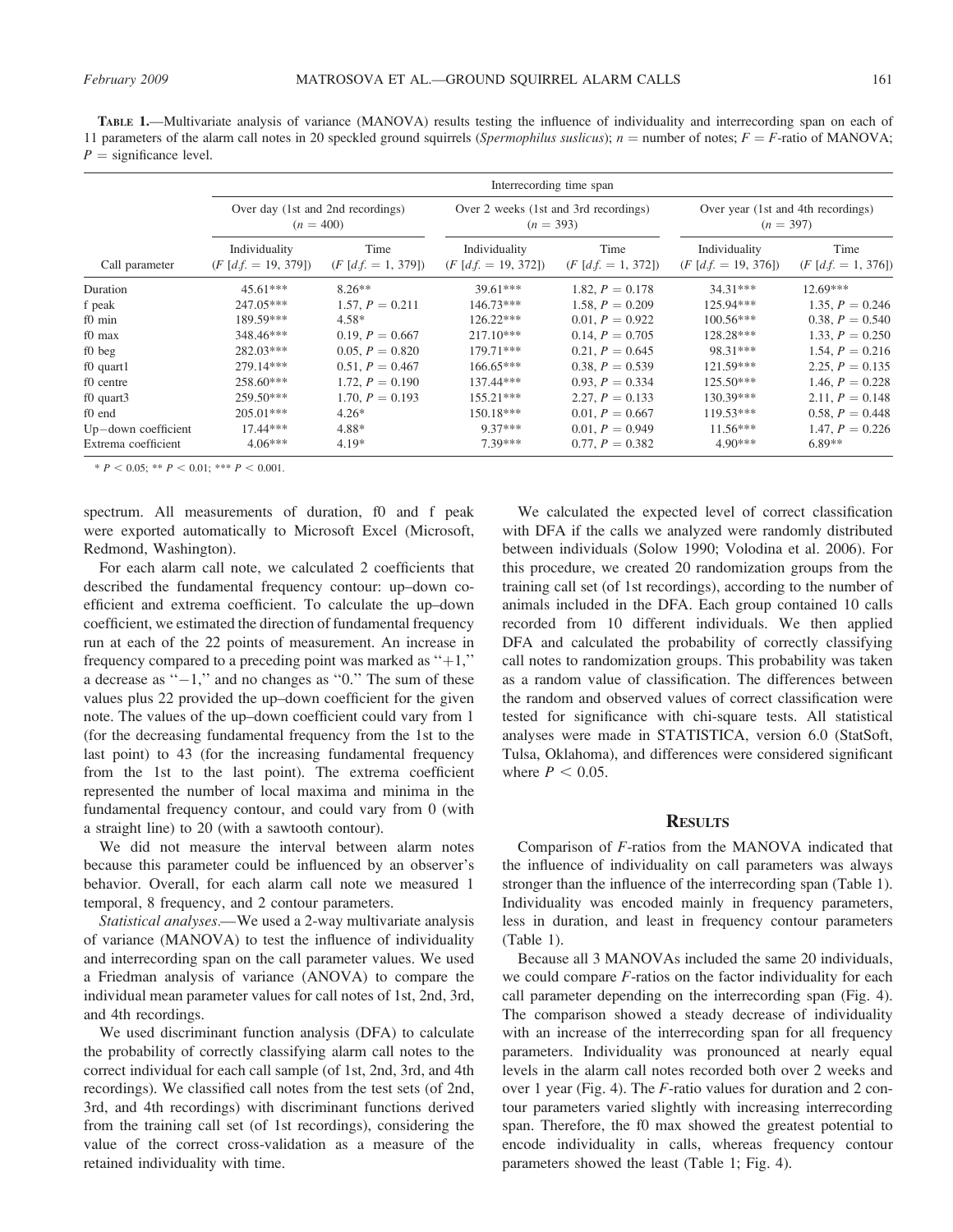TABLE 1.—Multivariate analysis of variance (MANOVA) results testing the influence of individuality and interrecording span on each of 11 parameters of the alarm call notes in 20 speckled ground squirrels (Spermophilus suslicus);  $n =$  number of notes;  $F = F$ -ratio of MANOVA;  $P =$  significance level.

|                        | Interrecording time span                         |                                  |                                                      |                                   |                                                   |                                  |  |  |
|------------------------|--------------------------------------------------|----------------------------------|------------------------------------------------------|-----------------------------------|---------------------------------------------------|----------------------------------|--|--|
|                        | Over day (1st and 2nd recordings)<br>$(n = 400)$ |                                  | Over 2 weeks (1st and 3rd recordings)<br>$(n = 393)$ |                                   | Over year (1st and 4th recordings)<br>$(n = 397)$ |                                  |  |  |
| Call parameter         | Individuality<br>$(F [d.f. = 19, 379])$          | Time<br>$(F \, [d.f. = 1, 379])$ | Individuality<br>$(F \mid d.f. = 19, 372])$          | Time<br>$(F \mid d.f. = 1, 372])$ | Individuality<br>$(F \mid d.f. = 19, 376)$        | Time<br>$(F \mid d.f. = 1, 376)$ |  |  |
| Duration               | $45.61***$                                       | $8.26**$                         | $39.61***$                                           | 1.82, $P = 0.178$                 | $34.31***$                                        | $12.69***$                       |  |  |
| f peak                 | 247.05***                                        | 1.57, $P = 0.211$                | $146.73***$                                          | 1.58, $P = 0.209$                 | 125.94***                                         | 1.35, $P = 0.246$                |  |  |
| f0 min                 | 189.59***                                        | $4.58*$                          | $126.22***$                                          | $0.01, P = 0.922$                 | $100.56***$                                       | 0.38, $P = 0.540$                |  |  |
| f0 max                 | 348.46***                                        | $0.19, P = 0.667$                | $217.10***$                                          | $0.14, P = 0.705$                 | 128.28***                                         | 1.33, $P = 0.250$                |  |  |
| f0 beg                 | 282.03***                                        | $0.05, P = 0.820$                | $179.71***$                                          | $0.21, P = 0.645$                 | 98.31***                                          | 1.54, $P = 0.216$                |  |  |
| $f0$ quart1            | 279.14***                                        | $0.51, P = 0.467$                | $166.65***$                                          | 0.38, $P = 0.539$                 | 121.59***                                         | 2.25, $P = 0.135$                |  |  |
| f0 centre              | 258.60***                                        | 1.72, $P = 0.190$                | 137.44***                                            | 0.93, $P = 0.334$                 | $125.50***$                                       | 1.46, $P = 0.228$                |  |  |
| $f0$ quart $3$         | 259.50***                                        | 1.70, $P = 0.193$                | $155.21***$                                          | 2.27, $P = 0.133$                 | 130.39***                                         | 2.11, $P = 0.148$                |  |  |
| f0 end                 | 205.01***                                        | $4.26*$                          | 150.18***                                            | $0.01, P = 0.667$                 | 119.53***                                         | $0.58, P = 0.448$                |  |  |
| $Up$ -down coefficient | $17.44***$                                       | 4.88*                            | $9.37***$                                            | 0.01, $P = 0.949$                 | $11.56***$                                        | 1.47, $P = 0.226$                |  |  |
| Extrema coefficient    | $4.06***$                                        | $4.19*$                          | $7.39***$                                            | $0.77, P = 0.382$                 | $4.90***$                                         | $6.89**$                         |  |  |

\*  $P < 0.05$ ; \*\*  $P < 0.01$ ; \*\*\*  $P < 0.001$ .

spectrum. All measurements of duration, f0 and f peak were exported automatically to Microsoft Excel (Microsoft, Redmond, Washington).

For each alarm call note, we calculated 2 coefficients that described the fundamental frequency contour: up–down coefficient and extrema coefficient. To calculate the up–down coefficient, we estimated the direction of fundamental frequency run at each of the 22 points of measurement. An increase in frequency compared to a preceding point was marked as " $+1$ ," a decrease as  $-1$ ," and no changes as  $-0$ ." The sum of these values plus 22 provided the up–down coefficient for the given note. The values of the up–down coefficient could vary from 1 (for the decreasing fundamental frequency from the 1st to the last point) to 43 (for the increasing fundamental frequency from the 1st to the last point). The extrema coefficient represented the number of local maxima and minima in the fundamental frequency contour, and could vary from 0 (with a straight line) to 20 (with a sawtooth contour).

We did not measure the interval between alarm notes because this parameter could be influenced by an observer's behavior. Overall, for each alarm call note we measured 1 temporal, 8 frequency, and 2 contour parameters.

Statistical analyses.—We used a 2-way multivariate analysis of variance (MANOVA) to test the influence of individuality and interrecording span on the call parameter values. We used a Friedman analysis of variance (ANOVA) to compare the individual mean parameter values for call notes of 1st, 2nd, 3rd, and 4th recordings.

We used discriminant function analysis (DFA) to calculate the probability of correctly classifying alarm call notes to the correct individual for each call sample (of 1st, 2nd, 3rd, and 4th recordings). We classified call notes from the test sets (of 2nd, 3rd, and 4th recordings) with discriminant functions derived from the training call set (of 1st recordings), considering the value of the correct cross-validation as a measure of the retained individuality with time.

We calculated the expected level of correct classification with DFA if the calls we analyzed were randomly distributed between individuals (Solow 1990; Volodina et al. 2006). For this procedure, we created 20 randomization groups from the training call set (of 1st recordings), according to the number of animals included in the DFA. Each group contained 10 calls recorded from 10 different individuals. We then applied DFA and calculated the probability of correctly classifying call notes to randomization groups. This probability was taken as a random value of classification. The differences between the random and observed values of correct classification were tested for significance with chi-square tests. All statistical analyses were made in STATISTICA, version 6.0 (StatSoft, Tulsa, Oklahoma), and differences were considered significant where  $P < 0.05$ .

## **RESULTS**

Comparison of F-ratios from the MANOVA indicated that the influence of individuality on call parameters was always stronger than the influence of the interrecording span (Table 1). Individuality was encoded mainly in frequency parameters, less in duration, and least in frequency contour parameters (Table 1).

Because all 3 MANOVAs included the same 20 individuals, we could compare F-ratios on the factor individuality for each call parameter depending on the interrecording span (Fig. 4). The comparison showed a steady decrease of individuality with an increase of the interrecording span for all frequency parameters. Individuality was pronounced at nearly equal levels in the alarm call notes recorded both over 2 weeks and over 1 year (Fig. 4). The F-ratio values for duration and 2 contour parameters varied slightly with increasing interrecording span. Therefore, the f0 max showed the greatest potential to encode individuality in calls, whereas frequency contour parameters showed the least (Table 1; Fig. 4).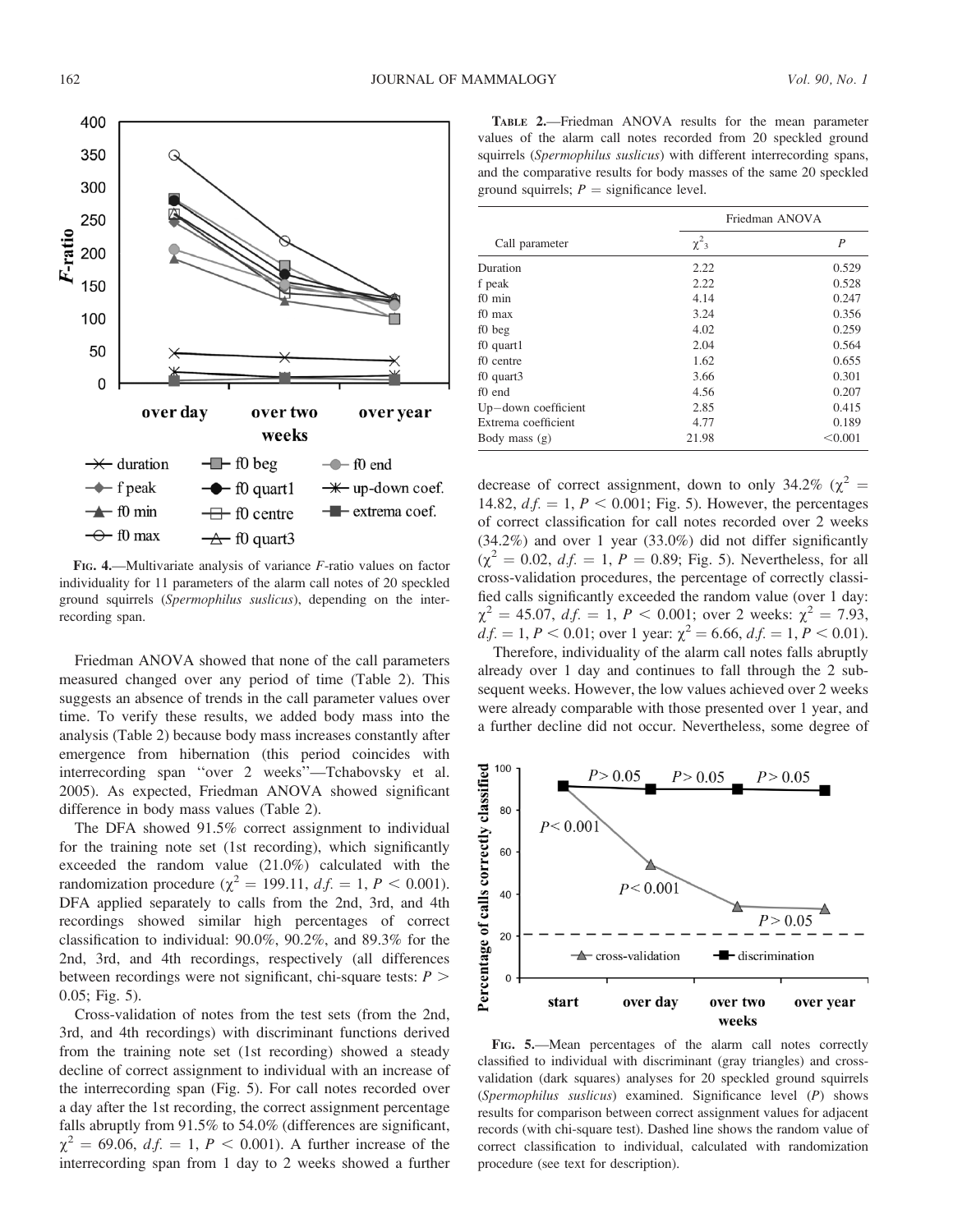

FIG. 4.—Multivariate analysis of variance F-ratio values on factor individuality for 11 parameters of the alarm call notes of 20 speckled ground squirrels (Spermophilus suslicus), depending on the interrecording span.

Friedman ANOVA showed that none of the call parameters measured changed over any period of time (Table 2). This suggests an absence of trends in the call parameter values over time. To verify these results, we added body mass into the analysis (Table 2) because body mass increases constantly after emergence from hibernation (this period coincides with interrecording span ''over 2 weeks''—Tchabovsky et al. 2005). As expected, Friedman ANOVA showed significant difference in body mass values (Table 2).

The DFA showed 91.5% correct assignment to individual for the training note set (1st recording), which significantly exceeded the random value (21.0%) calculated with the randomization procedure ( $\chi^2 = 199.11$ ,  $df = 1$ ,  $P < 0.001$ ). DFA applied separately to calls from the 2nd, 3rd, and 4th recordings showed similar high percentages of correct classification to individual: 90.0%, 90.2%, and 89.3% for the 2nd, 3rd, and 4th recordings, respectively (all differences between recordings were not significant, chi-square tests:  $P >$ 0.05; Fig. 5).

Cross-validation of notes from the test sets (from the 2nd, 3rd, and 4th recordings) with discriminant functions derived from the training note set (1st recording) showed a steady decline of correct assignment to individual with an increase of the interrecording span (Fig. 5). For call notes recorded over a day after the 1st recording, the correct assignment percentage falls abruptly from 91.5% to 54.0% (differences are significant,  $\chi^2$  = 69.06, d.f. = 1, P < 0.001). A further increase of the interrecording span from 1 day to 2 weeks showed a further

TABLE 2.—Friedman ANOVA results for the mean parameter values of the alarm call notes recorded from 20 speckled ground squirrels (Spermophilus suslicus) with different interrecording spans, and the comparative results for body masses of the same 20 speckled ground squirrels;  $P =$  significance level.

|                     |                       | Friedman ANOVA |
|---------------------|-----------------------|----------------|
| Call parameter      | $\chi^2$ <sub>3</sub> | P              |
| Duration            | 2.22                  | 0.529          |
| f peak              | 2.22                  | 0.528          |
| $f0 \text{ min}$    | 4.14                  | 0.247          |
| $f0$ max            | 3.24                  | 0.356          |
| f0 beg              | 4.02                  | 0.259          |
| f0 quart1           | 2.04                  | 0.564          |
| f0 centre           | 1.62                  | 0.655          |
| f0 quart3           | 3.66                  | 0.301          |
| f0 end              | 4.56                  | 0.207          |
| Up-down coefficient | 2.85                  | 0.415          |
| Extrema coefficient | 4.77                  | 0.189          |
| Body mass $(g)$     | 21.98                 | < 0.001        |

decrease of correct assignment, down to only 34.2% ( $\chi^2$  = 14.82,  $df = 1, P < 0.001$ ; Fig. 5). However, the percentages of correct classification for call notes recorded over 2 weeks (34.2%) and over 1 year (33.0%) did not differ significantly  $(\chi^2 = 0.02, d.f. = 1, P = 0.89; Fig. 5)$ . Nevertheless, for all cross-validation procedures, the percentage of correctly classified calls significantly exceeded the random value (over 1 day:  $\chi^2 = 45.07$ ,  $df = 1$ ,  $P < 0.001$ ; over 2 weeks:  $\chi^2 = 7.93$ ,  $df = 1, P < 0.01$ ; over 1 year:  $\chi^2 = 6.66, df = 1, P < 0.01$ .

Therefore, individuality of the alarm call notes falls abruptly already over 1 day and continues to fall through the 2 subsequent weeks. However, the low values achieved over 2 weeks were already comparable with those presented over 1 year, and a further decline did not occur. Nevertheless, some degree of



FIG. 5.—Mean percentages of the alarm call notes correctly classified to individual with discriminant (gray triangles) and crossvalidation (dark squares) analyses for 20 speckled ground squirrels (Spermophilus suslicus) examined. Significance level (P) shows results for comparison between correct assignment values for adjacent records (with chi-square test). Dashed line shows the random value of correct classification to individual, calculated with randomization procedure (see text for description).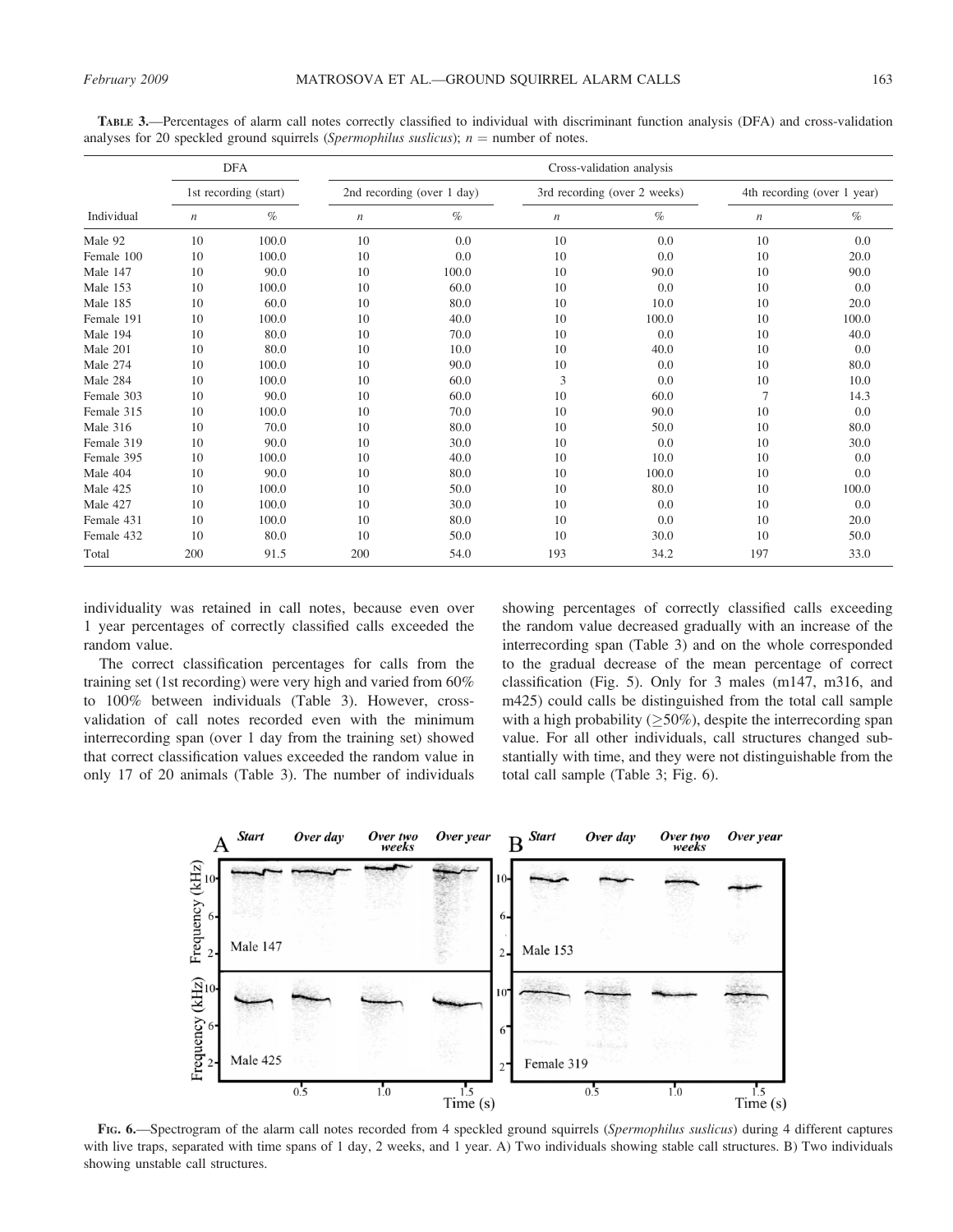TABLE 3.—Percentages of alarm call notes correctly classified to individual with discriminant function analysis (DFA) and cross-validation analyses for 20 speckled ground squirrels (Spermophilus suslicus);  $n =$  number of notes.

| Individual | <b>DFA</b><br>1st recording (start) |       | Cross-validation analysis  |       |                  |                              |                  |                             |  |
|------------|-------------------------------------|-------|----------------------------|-------|------------------|------------------------------|------------------|-----------------------------|--|
|            |                                     |       | 2nd recording (over 1 day) |       |                  | 3rd recording (over 2 weeks) |                  | 4th recording (over 1 year) |  |
|            | $\boldsymbol{n}$                    | $\%$  | $\boldsymbol{n}$           | $\%$  | $\boldsymbol{n}$ | $\%$                         | $\boldsymbol{n}$ | $\%$                        |  |
| Male 92    | 10                                  | 100.0 | 10                         | 0.0   | 10               | 0.0                          | 10               | 0.0                         |  |
| Female 100 | 10                                  | 100.0 | 10                         | 0.0   | 10               | 0.0                          | 10               | 20.0                        |  |
| Male 147   | 10                                  | 90.0  | 10                         | 100.0 | 10               | 90.0                         | 10               | 90.0                        |  |
| Male 153   | 10                                  | 100.0 | 10                         | 60.0  | 10               | 0.0                          | 10               | 0.0                         |  |
| Male 185   | 10                                  | 60.0  | 10                         | 80.0  | 10               | 10.0                         | 10               | 20.0                        |  |
| Female 191 | 10                                  | 100.0 | 10                         | 40.0  | 10               | 100.0                        | 10               | 100.0                       |  |
| Male 194   | 10                                  | 80.0  | 10                         | 70.0  | 10               | 0.0                          | 10               | 40.0                        |  |
| Male 201   | 10                                  | 80.0  | 10                         | 10.0  | 10               | 40.0                         | 10               | 0.0                         |  |
| Male 274   | 10                                  | 100.0 | 10                         | 90.0  | 10               | 0.0                          | 10               | 80.0                        |  |
| Male 284   | 10                                  | 100.0 | 10                         | 60.0  | 3                | 0.0                          | 10               | 10.0                        |  |
| Female 303 | 10                                  | 90.0  | 10                         | 60.0  | 10               | 60.0                         | 7                | 14.3                        |  |
| Female 315 | 10                                  | 100.0 | 10                         | 70.0  | 10               | 90.0                         | 10               | 0.0                         |  |
| Male 316   | 10                                  | 70.0  | 10                         | 80.0  | 10               | 50.0                         | 10               | 80.0                        |  |
| Female 319 | 10                                  | 90.0  | 10                         | 30.0  | 10               | 0.0                          | 10               | 30.0                        |  |
| Female 395 | 10                                  | 100.0 | 10                         | 40.0  | 10               | 10.0                         | 10               | 0.0                         |  |
| Male 404   | 10                                  | 90.0  | 10                         | 80.0  | 10               | 100.0                        | 10               | 0.0                         |  |
| Male 425   | 10                                  | 100.0 | 10                         | 50.0  | 10               | 80.0                         | 10               | 100.0                       |  |
| Male 427   | 10                                  | 100.0 | 10                         | 30.0  | 10               | 0.0                          | 10               | 0.0                         |  |
| Female 431 | 10                                  | 100.0 | 10                         | 80.0  | 10               | 0.0                          | 10               | 20.0                        |  |
| Female 432 | 10                                  | 80.0  | 10                         | 50.0  | 10               | 30.0                         | 10               | 50.0                        |  |
| Total      | 200                                 | 91.5  | 200                        | 54.0  | 193              | 34.2                         | 197              | 33.0                        |  |

individuality was retained in call notes, because even over 1 year percentages of correctly classified calls exceeded the random value.

The correct classification percentages for calls from the training set (1st recording) were very high and varied from 60% to 100% between individuals (Table 3). However, crossvalidation of call notes recorded even with the minimum interrecording span (over 1 day from the training set) showed that correct classification values exceeded the random value in only 17 of 20 animals (Table 3). The number of individuals showing percentages of correctly classified calls exceeding the random value decreased gradually with an increase of the interrecording span (Table 3) and on the whole corresponded to the gradual decrease of the mean percentage of correct classification (Fig. 5). Only for 3 males (m147, m316, and m425) could calls be distinguished from the total call sample with a high probability  $(\geq 50\%)$ , despite the interrecording span value. For all other individuals, call structures changed substantially with time, and they were not distinguishable from the total call sample (Table 3; Fig. 6).



FIG. 6.—Spectrogram of the alarm call notes recorded from 4 speckled ground squirrels (Spermophilus suslicus) during 4 different captures with live traps, separated with time spans of 1 day, 2 weeks, and 1 year. A) Two individuals showing stable call structures. B) Two individuals showing unstable call structures.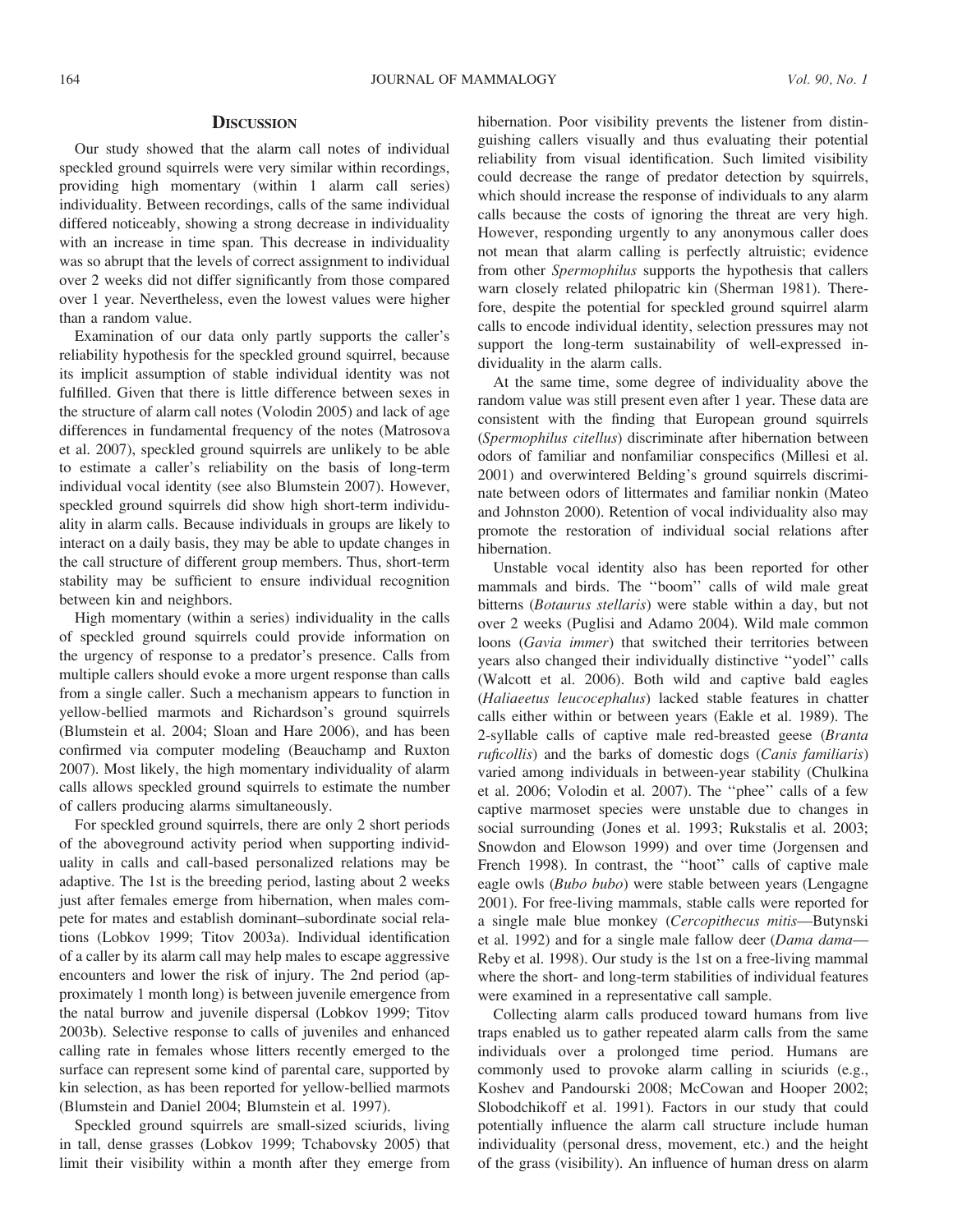# **DISCUSSION**

Our study showed that the alarm call notes of individual speckled ground squirrels were very similar within recordings, providing high momentary (within 1 alarm call series) individuality. Between recordings, calls of the same individual differed noticeably, showing a strong decrease in individuality with an increase in time span. This decrease in individuality was so abrupt that the levels of correct assignment to individual over 2 weeks did not differ significantly from those compared over 1 year. Nevertheless, even the lowest values were higher than a random value.

Examination of our data only partly supports the caller's reliability hypothesis for the speckled ground squirrel, because its implicit assumption of stable individual identity was not fulfilled. Given that there is little difference between sexes in the structure of alarm call notes (Volodin 2005) and lack of age differences in fundamental frequency of the notes (Matrosova et al. 2007), speckled ground squirrels are unlikely to be able to estimate a caller's reliability on the basis of long-term individual vocal identity (see also Blumstein 2007). However, speckled ground squirrels did show high short-term individuality in alarm calls. Because individuals in groups are likely to interact on a daily basis, they may be able to update changes in the call structure of different group members. Thus, short-term stability may be sufficient to ensure individual recognition between kin and neighbors.

High momentary (within a series) individuality in the calls of speckled ground squirrels could provide information on the urgency of response to a predator's presence. Calls from multiple callers should evoke a more urgent response than calls from a single caller. Such a mechanism appears to function in yellow-bellied marmots and Richardson's ground squirrels (Blumstein et al. 2004; Sloan and Hare 2006), and has been confirmed via computer modeling (Beauchamp and Ruxton 2007). Most likely, the high momentary individuality of alarm calls allows speckled ground squirrels to estimate the number of callers producing alarms simultaneously.

For speckled ground squirrels, there are only 2 short periods of the aboveground activity period when supporting individuality in calls and call-based personalized relations may be adaptive. The 1st is the breeding period, lasting about 2 weeks just after females emerge from hibernation, when males compete for mates and establish dominant–subordinate social relations (Lobkov 1999; Titov 2003a). Individual identification of a caller by its alarm call may help males to escape aggressive encounters and lower the risk of injury. The 2nd period (approximately 1 month long) is between juvenile emergence from the natal burrow and juvenile dispersal (Lobkov 1999; Titov 2003b). Selective response to calls of juveniles and enhanced calling rate in females whose litters recently emerged to the surface can represent some kind of parental care, supported by kin selection, as has been reported for yellow-bellied marmots (Blumstein and Daniel 2004; Blumstein et al. 1997).

Speckled ground squirrels are small-sized sciurids, living in tall, dense grasses (Lobkov 1999; Tchabovsky 2005) that limit their visibility within a month after they emerge from hibernation. Poor visibility prevents the listener from distinguishing callers visually and thus evaluating their potential reliability from visual identification. Such limited visibility could decrease the range of predator detection by squirrels, which should increase the response of individuals to any alarm calls because the costs of ignoring the threat are very high. However, responding urgently to any anonymous caller does not mean that alarm calling is perfectly altruistic; evidence from other Spermophilus supports the hypothesis that callers warn closely related philopatric kin (Sherman 1981). Therefore, despite the potential for speckled ground squirrel alarm calls to encode individual identity, selection pressures may not support the long-term sustainability of well-expressed individuality in the alarm calls.

At the same time, some degree of individuality above the random value was still present even after 1 year. These data are consistent with the finding that European ground squirrels (Spermophilus citellus) discriminate after hibernation between odors of familiar and nonfamiliar conspecifics (Millesi et al. 2001) and overwintered Belding's ground squirrels discriminate between odors of littermates and familiar nonkin (Mateo and Johnston 2000). Retention of vocal individuality also may promote the restoration of individual social relations after hibernation.

Unstable vocal identity also has been reported for other mammals and birds. The ''boom'' calls of wild male great bitterns (Botaurus stellaris) were stable within a day, but not over 2 weeks (Puglisi and Adamo 2004). Wild male common loons (Gavia immer) that switched their territories between years also changed their individually distinctive ''yodel'' calls (Walcott et al. 2006). Both wild and captive bald eagles (Haliaeetus leucocephalus) lacked stable features in chatter calls either within or between years (Eakle et al. 1989). The 2-syllable calls of captive male red-breasted geese (Branta ruficollis) and the barks of domestic dogs (Canis familiaris) varied among individuals in between-year stability (Chulkina et al. 2006; Volodin et al. 2007). The ''phee'' calls of a few captive marmoset species were unstable due to changes in social surrounding (Jones et al. 1993; Rukstalis et al. 2003; Snowdon and Elowson 1999) and over time (Jorgensen and French 1998). In contrast, the ''hoot'' calls of captive male eagle owls (Bubo bubo) were stable between years (Lengagne 2001). For free-living mammals, stable calls were reported for a single male blue monkey (Cercopithecus mitis—Butynski et al. 1992) and for a single male fallow deer (Dama dama— Reby et al. 1998). Our study is the 1st on a free-living mammal where the short- and long-term stabilities of individual features were examined in a representative call sample.

Collecting alarm calls produced toward humans from live traps enabled us to gather repeated alarm calls from the same individuals over a prolonged time period. Humans are commonly used to provoke alarm calling in sciurids (e.g., Koshev and Pandourski 2008; McCowan and Hooper 2002; Slobodchikoff et al. 1991). Factors in our study that could potentially influence the alarm call structure include human individuality (personal dress, movement, etc.) and the height of the grass (visibility). An influence of human dress on alarm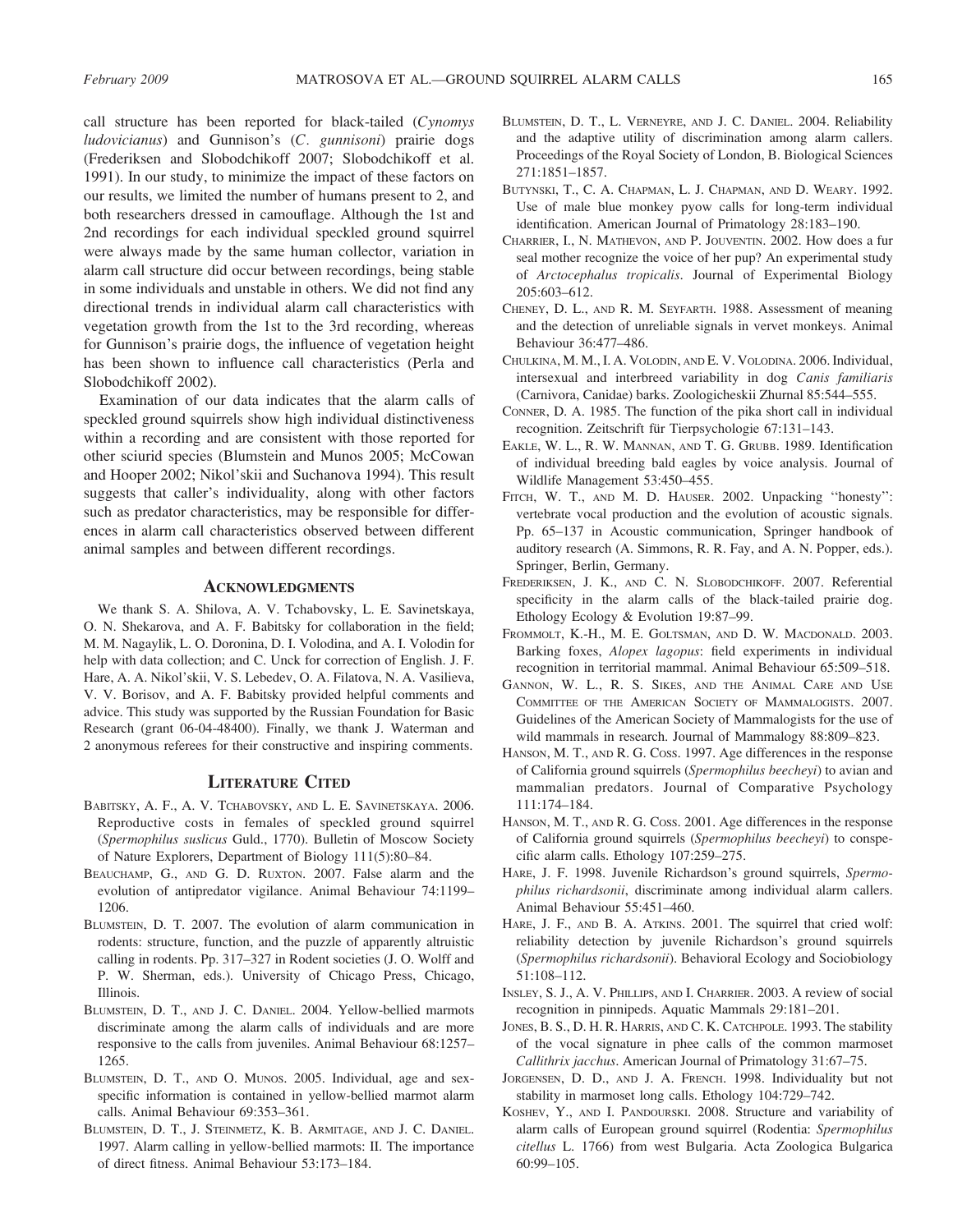call structure has been reported for black-tailed (Cynomys ludovicianus) and Gunnison's (C. gunnisoni) prairie dogs (Frederiksen and Slobodchikoff 2007; Slobodchikoff et al. 1991). In our study, to minimize the impact of these factors on our results, we limited the number of humans present to 2, and both researchers dressed in camouflage. Although the 1st and 2nd recordings for each individual speckled ground squirrel were always made by the same human collector, variation in alarm call structure did occur between recordings, being stable in some individuals and unstable in others. We did not find any directional trends in individual alarm call characteristics with vegetation growth from the 1st to the 3rd recording, whereas for Gunnison's prairie dogs, the influence of vegetation height has been shown to influence call characteristics (Perla and Slobodchikoff 2002).

Examination of our data indicates that the alarm calls of speckled ground squirrels show high individual distinctiveness within a recording and are consistent with those reported for other sciurid species (Blumstein and Munos 2005; McCowan and Hooper 2002; Nikol'skii and Suchanova 1994). This result suggests that caller's individuality, along with other factors such as predator characteristics, may be responsible for differences in alarm call characteristics observed between different animal samples and between different recordings.

#### **ACKNOWLEDGMENTS**

We thank S. A. Shilova, A. V. Tchabovsky, L. E. Savinetskaya, O. N. Shekarova, and A. F. Babitsky for collaboration in the field; M. M. Nagaylik, L. O. Doronina, D. I. Volodina, and A. I. Volodin for help with data collection; and C. Unck for correction of English. J. F. Hare, A. A. Nikol'skii, V. S. Lebedev, O. A. Filatova, N. A. Vasilieva, V. V. Borisov, and A. F. Babitsky provided helpful comments and advice. This study was supported by the Russian Foundation for Basic Research (grant 06-04-48400). Finally, we thank J. Waterman and 2 anonymous referees for their constructive and inspiring comments.

### LITERATURE CITED

- BABITSKY, A. F., A. V. TCHABOVSKY, AND L. E. SAVINETSKAYA. 2006. Reproductive costs in females of speckled ground squirrel (Spermophilus suslicus Guld., 1770). Bulletin of Moscow Society of Nature Explorers, Department of Biology 111(5):80–84.
- BEAUCHAMP, G., AND G. D. RUXTON. 2007. False alarm and the evolution of antipredator vigilance. Animal Behaviour 74:1199– 1206.
- BLUMSTEIN, D. T. 2007. The evolution of alarm communication in rodents: structure, function, and the puzzle of apparently altruistic calling in rodents. Pp. 317–327 in Rodent societies (J. O. Wolff and P. W. Sherman, eds.). University of Chicago Press, Chicago, Illinois.
- BLUMSTEIN, D. T., AND J. C. DANIEL. 2004. Yellow-bellied marmots discriminate among the alarm calls of individuals and are more responsive to the calls from juveniles. Animal Behaviour 68:1257– 1265.
- BLUMSTEIN, D. T., AND O. MUNOS. 2005. Individual, age and sexspecific information is contained in yellow-bellied marmot alarm calls. Animal Behaviour 69:353–361.
- BLUMSTEIN, D. T., J. STEINMETZ, K. B. ARMITAGE, AND J. C. DANIEL. 1997. Alarm calling in yellow-bellied marmots: II. The importance of direct fitness. Animal Behaviour 53:173–184.
- BLUMSTEIN, D. T., L. VERNEYRE, AND J. C. DANIEL. 2004. Reliability and the adaptive utility of discrimination among alarm callers. Proceedings of the Royal Society of London, B. Biological Sciences 271:1851–1857.
- BUTYNSKI, T., C. A. CHAPMAN, L. J. CHAPMAN, AND D. WEARY. 1992. Use of male blue monkey pyow calls for long-term individual identification. American Journal of Primatology 28:183–190.
- CHARRIER, I., N. MATHEVON, AND P. JOUVENTIN. 2002. How does a fur seal mother recognize the voice of her pup? An experimental study of Arctocephalus tropicalis. Journal of Experimental Biology 205:603–612.
- CHENEY, D. L., AND R. M. SEYFARTH. 1988. Assessment of meaning and the detection of unreliable signals in vervet monkeys. Animal Behaviour 36:477–486.
- CHULKINA, M. M., I. A. VOLODIN, AND E. V. VOLODINA. 2006. Individual, intersexual and interbreed variability in dog Canis familiaris (Carnivora, Canidae) barks. Zoologicheskii Zhurnal 85:544–555.
- CONNER, D. A. 1985. The function of the pika short call in individual recognition. Zeitschrift für Tierpsychologie 67:131-143.
- EAKLE, W. L., R. W. MANNAN, AND T. G. GRUBB. 1989. Identification of individual breeding bald eagles by voice analysis. Journal of Wildlife Management 53:450–455.
- FITCH, W. T., AND M. D. HAUSER. 2002. Unpacking "honesty": vertebrate vocal production and the evolution of acoustic signals. Pp. 65–137 in Acoustic communication, Springer handbook of auditory research (A. Simmons, R. R. Fay, and A. N. Popper, eds.). Springer, Berlin, Germany.
- FREDERIKSEN, J. K., AND C. N. SLOBODCHIKOFF. 2007. Referential specificity in the alarm calls of the black-tailed prairie dog. Ethology Ecology & Evolution 19:87–99.
- FROMMOLT, K.-H., M. E. GOLTSMAN, AND D. W. MACDONALD. 2003. Barking foxes, Alopex lagopus: field experiments in individual recognition in territorial mammal. Animal Behaviour 65:509–518.
- GANNON, W. L., R. S. SIKES, AND THE ANIMAL CARE AND USE COMMITTEE OF THE AMERICAN SOCIETY OF MAMMALOGISTS. 2007. Guidelines of the American Society of Mammalogists for the use of wild mammals in research. Journal of Mammalogy 88:809–823.
- HANSON, M. T., AND R. G. COSS. 1997. Age differences in the response of California ground squirrels (Spermophilus beecheyi) to avian and mammalian predators. Journal of Comparative Psychology 111:174–184.
- HANSON, M. T., AND R. G. COSS. 2001. Age differences in the response of California ground squirrels (Spermophilus beecheyi) to conspecific alarm calls. Ethology 107:259–275.
- HARE, J. F. 1998. Juvenile Richardson's ground squirrels, Spermophilus richardsonii, discriminate among individual alarm callers. Animal Behaviour 55:451–460.
- HARE, J. F., AND B. A. ATKINS. 2001. The squirrel that cried wolf: reliability detection by juvenile Richardson's ground squirrels (Spermophilus richardsonii). Behavioral Ecology and Sociobiology 51:108–112.
- INSLEY, S. J., A. V. PHILLIPS, AND I. CHARRIER. 2003. A review of social recognition in pinnipeds. Aquatic Mammals 29:181–201.
- JONES, B. S., D. H. R. HARRIS, AND C. K. CATCHPOLE. 1993. The stability of the vocal signature in phee calls of the common marmoset Callithrix jacchus. American Journal of Primatology 31:67–75.
- JORGENSEN, D. D., AND J. A. FRENCH. 1998. Individuality but not stability in marmoset long calls. Ethology 104:729–742.
- KOSHEV, Y., AND I. PANDOURSKI. 2008. Structure and variability of alarm calls of European ground squirrel (Rodentia: Spermophilus citellus L. 1766) from west Bulgaria. Acta Zoologica Bulgarica 60:99–105.